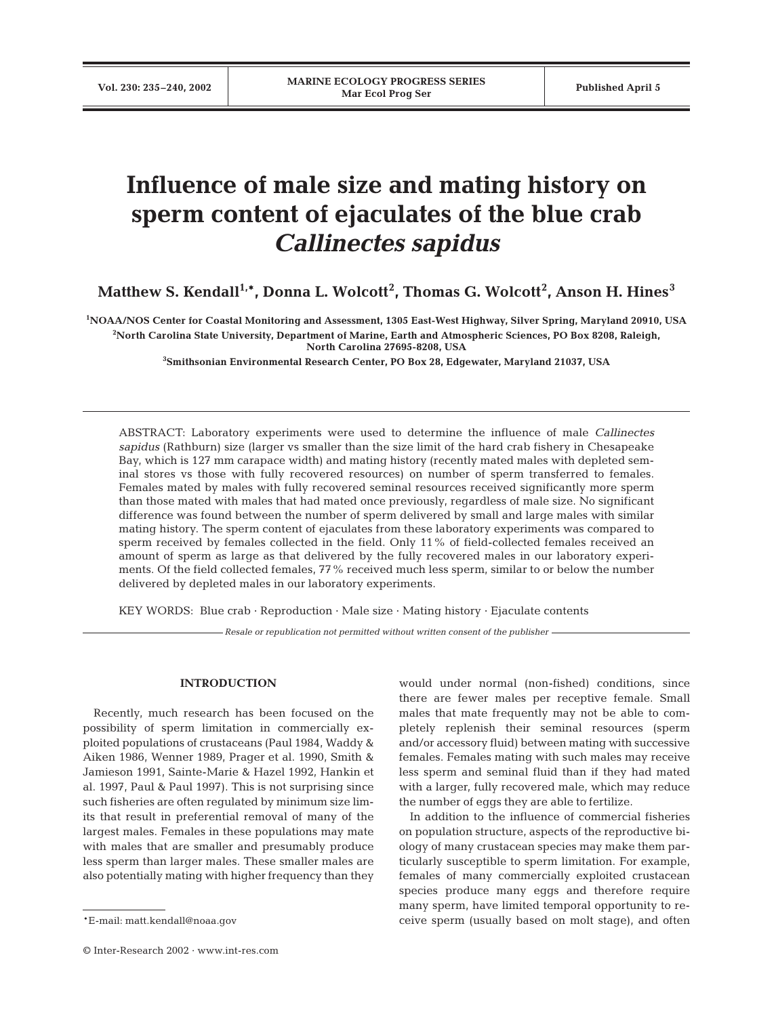# **Influence of male size and mating history on sperm content of ejaculates of the blue crab**  *Callinectes sapidus*

 $\mathbf{M}$ atthew S. Kendall $^{1, \ast}$ , Donna L. Wolcott $^{2}$ , Thomas G. Wolcott $^{2}$ , Anson H. Hines $^{3}$ 

**1 NOAA/NOS Center for Coastal Monitoring and Assessment, 1305 East-West Highway, Silver Spring, Maryland 20910, USA 2 North Carolina State University, Department of Marine, Earth and Atmospheric Sciences, PO Box 8208, Raleigh, North Carolina 27695-8208, USA** 

**3 Smithsonian Environmental Research Center, PO Box 28, Edgewater, Maryland 21037, USA**

ABSTRACT: Laboratory experiments were used to determine the influence of male *Callinectes sapidus* (Rathburn) size (larger vs smaller than the size limit of the hard crab fishery in Chesapeake Bay, which is 127 mm carapace width) and mating history (recently mated males with depleted seminal stores vs those with fully recovered resources) on number of sperm transferred to females. Females mated by males with fully recovered seminal resources received significantly more sperm than those mated with males that had mated once previously, regardless of male size. No significant difference was found between the number of sperm delivered by small and large males with similar mating history. The sperm content of ejaculates from these laboratory experiments was compared to sperm received by females collected in the field. Only 11% of field-collected females received an amount of sperm as large as that delivered by the fully recovered males in our laboratory experiments. Of the field collected females, 77% received much less sperm, similar to or below the number delivered by depleted males in our laboratory experiments.

KEY WORDS: Blue crab · Reproduction · Male size · Mating history · Ejaculate contents

*Resale or republication not permitted without written consent of the publisher*

## **INTRODUCTION**

Recently, much research has been focused on the possibility of sperm limitation in commercially exploited populations of crustaceans (Paul 1984, Waddy & Aiken 1986, Wenner 1989, Prager et al. 1990, Smith & Jamieson 1991, Sainte-Marie & Hazel 1992, Hankin et al. 1997, Paul & Paul 1997). This is not surprising since such fisheries are often regulated by minimum size limits that result in preferential removal of many of the largest males. Females in these populations may mate with males that are smaller and presumably produce less sperm than larger males. These smaller males are also potentially mating with higher frequency than they

© Inter-Research 2002 · www.int-res.com

would under normal (non-fished) conditions, since there are fewer males per receptive female. Small males that mate frequently may not be able to completely replenish their seminal resources (sperm and/or accessory fluid) between mating with successive females. Females mating with such males may receive less sperm and seminal fluid than if they had mated with a larger, fully recovered male, which may reduce the number of eggs they are able to fertilize.

In addition to the influence of commercial fisheries on population structure, aspects of the reproductive biology of many crustacean species may make them particularly susceptible to sperm limitation. For example, females of many commercially exploited crustacean species produce many eggs and therefore require many sperm, have limited temporal opportunity to receive sperm (usually based on molt stage), and often

<sup>\*</sup>E-mail: matt.kendall@noaa.gov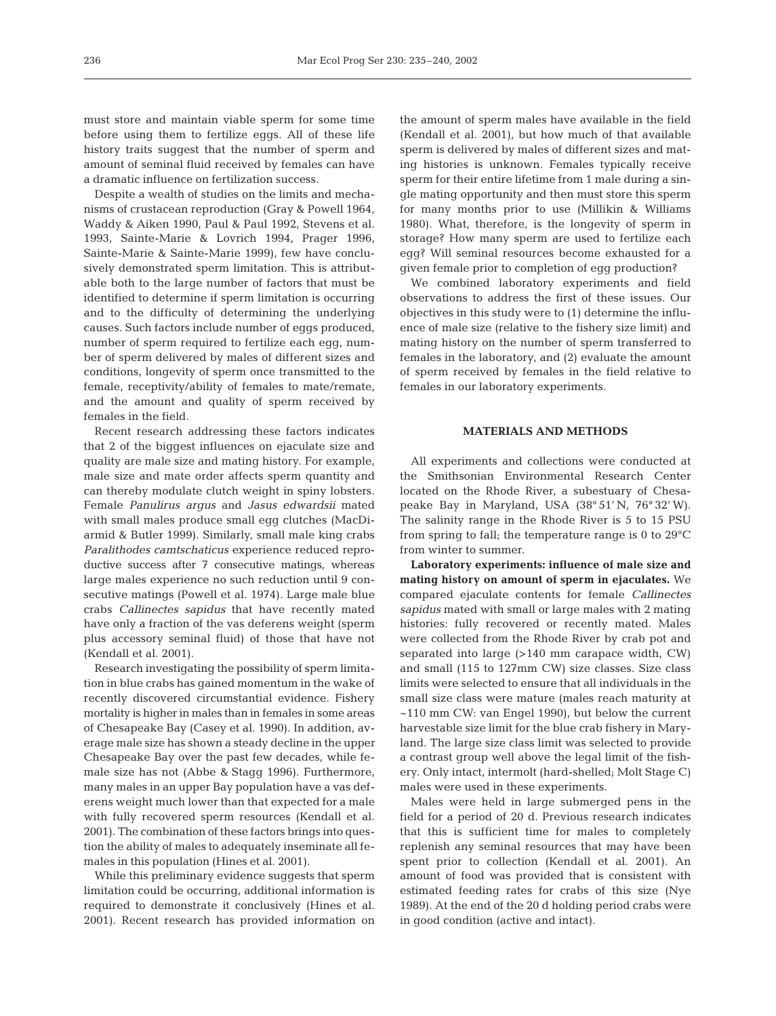must store and maintain viable sperm for some time before using them to fertilize eggs. All of these life history traits suggest that the number of sperm and amount of seminal fluid received by females can have a dramatic influence on fertilization success.

Despite a wealth of studies on the limits and mechanisms of crustacean reproduction (Gray & Powell 1964, Waddy & Aiken 1990, Paul & Paul 1992, Stevens et al. 1993, Sainte-Marie & Lovrich 1994, Prager 1996, Sainte-Marie & Sainte-Marie 1999), few have conclusively demonstrated sperm limitation. This is attributable both to the large number of factors that must be identified to determine if sperm limitation is occurring and to the difficulty of determining the underlying causes. Such factors include number of eggs produced, number of sperm required to fertilize each egg, number of sperm delivered by males of different sizes and conditions, longevity of sperm once transmitted to the female, receptivity/ability of females to mate/remate, and the amount and quality of sperm received by females in the field.

Recent research addressing these factors indicates that 2 of the biggest influences on ejaculate size and quality are male size and mating history. For example, male size and mate order affects sperm quantity and can thereby modulate clutch weight in spiny lobsters. Female *Panulirus argus* and *Jasus edwardsii* mated with small males produce small egg clutches (MacDiarmid & Butler 1999). Similarly, small male king crabs *Paralithodes camtschaticus* experience reduced reproductive success after 7 consecutive matings, whereas large males experience no such reduction until 9 consecutive matings (Powell et al. 1974). Large male blue crabs *Callinectes sapidus* that have recently mated have only a fraction of the vas deferens weight (sperm plus accessory seminal fluid) of those that have not (Kendall et al. 2001).

Research investigating the possibility of sperm limitation in blue crabs has gained momentum in the wake of recently discovered circumstantial evidence. Fishery mortality is higher in males than in females in some areas of Chesapeake Bay (Casey et al. 1990). In addition, average male size has shown a steady decline in the upper Chesapeake Bay over the past few decades, while female size has not (Abbe & Stagg 1996). Furthermore, many males in an upper Bay population have a vas deferens weight much lower than that expected for a male with fully recovered sperm resources (Kendall et al. 2001). The combination of these factors brings into question the ability of males to adequately inseminate all females in this population (Hines et al. 2001).

While this preliminary evidence suggests that sperm limitation could be occurring, additional information is required to demonstrate it conclusively (Hines et al. 2001). Recent research has provided information on the amount of sperm males have available in the field (Kendall et al. 2001), but how much of that available sperm is delivered by males of different sizes and mating histories is unknown. Females typically receive sperm for their entire lifetime from 1 male during a single mating opportunity and then must store this sperm for many months prior to use (Millikin & Williams 1980). What, therefore, is the longevity of sperm in storage? How many sperm are used to fertilize each egg? Will seminal resources become exhausted for a given female prior to completion of egg production?

We combined laboratory experiments and field observations to address the first of these issues. Our objectives in this study were to (1) determine the influence of male size (relative to the fishery size limit) and mating history on the number of sperm transferred to females in the laboratory, and (2) evaluate the amount of sperm received by females in the field relative to females in our laboratory experiments.

## **MATERIALS AND METHODS**

All experiments and collections were conducted at the Smithsonian Environmental Research Center located on the Rhode River, a subestuary of Chesapeake Bay in Maryland, USA (38° 51' N, 76° 32' W). The salinity range in the Rhode River is 5 to 15 PSU from spring to fall; the temperature range is 0 to 29°C from winter to summer.

**Laboratory experiments: influence of male size and mating history on amount of sperm in ejaculates.** We compared ejaculate contents for female *Callinectes sapidus* mated with small or large males with 2 mating histories: fully recovered or recently mated. Males were collected from the Rhode River by crab pot and separated into large (>140 mm carapace width, CW) and small (115 to 127mm CW) size classes. Size class limits were selected to ensure that all individuals in the small size class were mature (males reach maturity at ~110 mm CW: van Engel 1990), but below the current harvestable size limit for the blue crab fishery in Maryland. The large size class limit was selected to provide a contrast group well above the legal limit of the fishery. Only intact, intermolt (hard-shelled; Molt Stage C) males were used in these experiments.

Males were held in large submerged pens in the field for a period of 20 d. Previous research indicates that this is sufficient time for males to completely replenish any seminal resources that may have been spent prior to collection (Kendall et al. 2001). An amount of food was provided that is consistent with estimated feeding rates for crabs of this size (Nye 1989). At the end of the 20 d holding period crabs were in good condition (active and intact).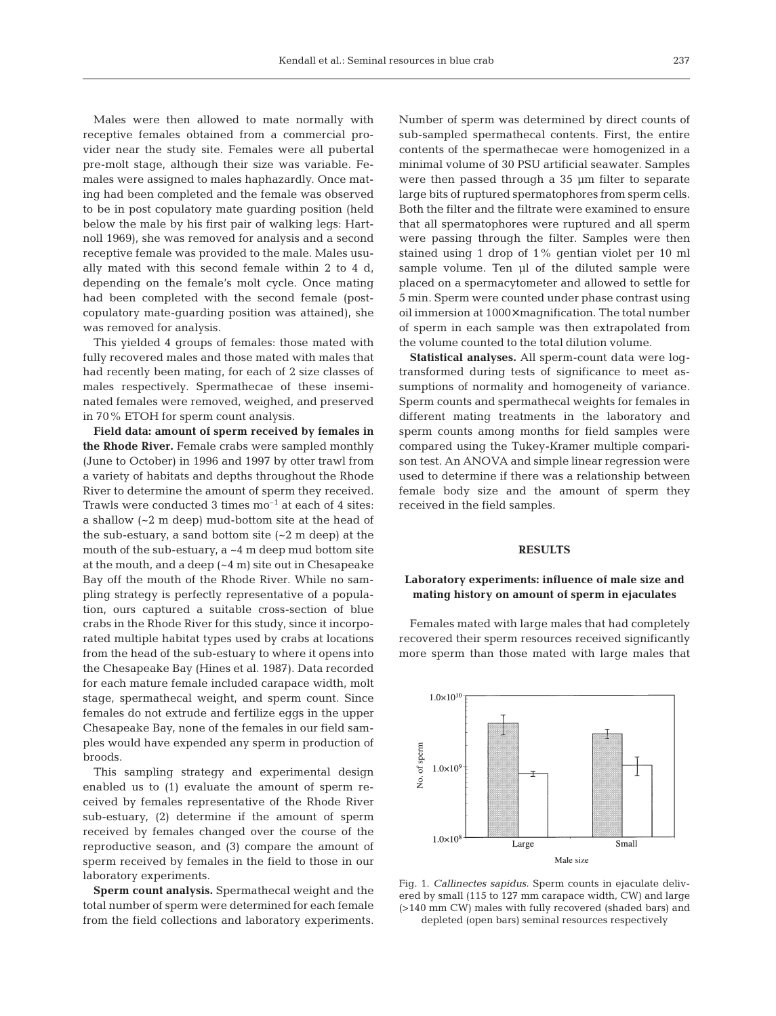Males were then allowed to mate normally with receptive females obtained from a commercial provider near the study site. Females were all pubertal pre-molt stage, although their size was variable. Females were assigned to males haphazardly. Once mating had been completed and the female was observed to be in post copulatory mate guarding position (held below the male by his first pair of walking legs: Hartnoll 1969), she was removed for analysis and a second receptive female was provided to the male. Males usually mated with this second female within 2 to 4 d, depending on the female's molt cycle. Once mating had been completed with the second female (postcopulatory mate-guarding position was attained), she was removed for analysis.

This yielded 4 groups of females: those mated with fully recovered males and those mated with males that had recently been mating, for each of 2 size classes of males respectively. Spermathecae of these inseminated females were removed, weighed, and preserved in 70% ETOH for sperm count analysis.

**Field data: amount of sperm received by females in the Rhode River.** Female crabs were sampled monthly (June to October) in 1996 and 1997 by otter trawl from a variety of habitats and depths throughout the Rhode River to determine the amount of sperm they received. Trawls were conducted 3 times  $mo^{-1}$  at each of 4 sites: a shallow (~2 m deep) mud-bottom site at the head of the sub-estuary, a sand bottom site  $(-2 \text{ m deep})$  at the mouth of the sub-estuary,  $a \sim 4$  m deep mud bottom site at the mouth, and a deep (~4 m) site out in Chesapeake Bay off the mouth of the Rhode River. While no sampling strategy is perfectly representative of a population, ours captured a suitable cross-section of blue crabs in the Rhode River for this study, since it incorporated multiple habitat types used by crabs at locations from the head of the sub-estuary to where it opens into the Chesapeake Bay (Hines et al. 1987). Data recorded for each mature female included carapace width, molt stage, spermathecal weight, and sperm count. Since females do not extrude and fertilize eggs in the upper Chesapeake Bay, none of the females in our field samples would have expended any sperm in production of broods.

This sampling strategy and experimental design enabled us to (1) evaluate the amount of sperm received by females representative of the Rhode River sub-estuary, (2) determine if the amount of sperm received by females changed over the course of the reproductive season, and (3) compare the amount of sperm received by females in the field to those in our laboratory experiments.

**Sperm count analysis.** Spermathecal weight and the total number of sperm were determined for each female from the field collections and laboratory experiments.

Number of sperm was determined by direct counts of sub-sampled spermathecal contents. First, the entire contents of the spermathecae were homogenized in a minimal volume of 30 PSU artificial seawater. Samples were then passed through a 35 µm filter to separate large bits of ruptured spermatophores from sperm cells. Both the filter and the filtrate were examined to ensure that all spermatophores were ruptured and all sperm were passing through the filter. Samples were then stained using 1 drop of 1% gentian violet per 10 ml sample volume. Ten µl of the diluted sample were placed on a spermacytometer and allowed to settle for 5 min. Sperm were counted under phase contrast using oil immersion at 1000× magnification. The total number of sperm in each sample was then extrapolated from the volume counted to the total dilution volume.

**Statistical analyses.** All sperm-count data were logtransformed during tests of significance to meet assumptions of normality and homogeneity of variance. Sperm counts and spermathecal weights for females in different mating treatments in the laboratory and sperm counts among months for field samples were compared using the Tukey-Kramer multiple comparison test. An ANOVA and simple linear regression were used to determine if there was a relationship between female body size and the amount of sperm they received in the field samples.

#### **RESULTS**

## **Laboratory experiments: influence of male size and mating history on amount of sperm in ejaculates**

Females mated with large males that had completely recovered their sperm resources received significantly more sperm than those mated with large males that



Fig. 1. *Callinectes sapidus*. Sperm counts in ejaculate delivered by small (115 to 127 mm carapace width, CW) and large (>140 mm CW) males with fully recovered (shaded bars) and depleted (open bars) seminal resources respectively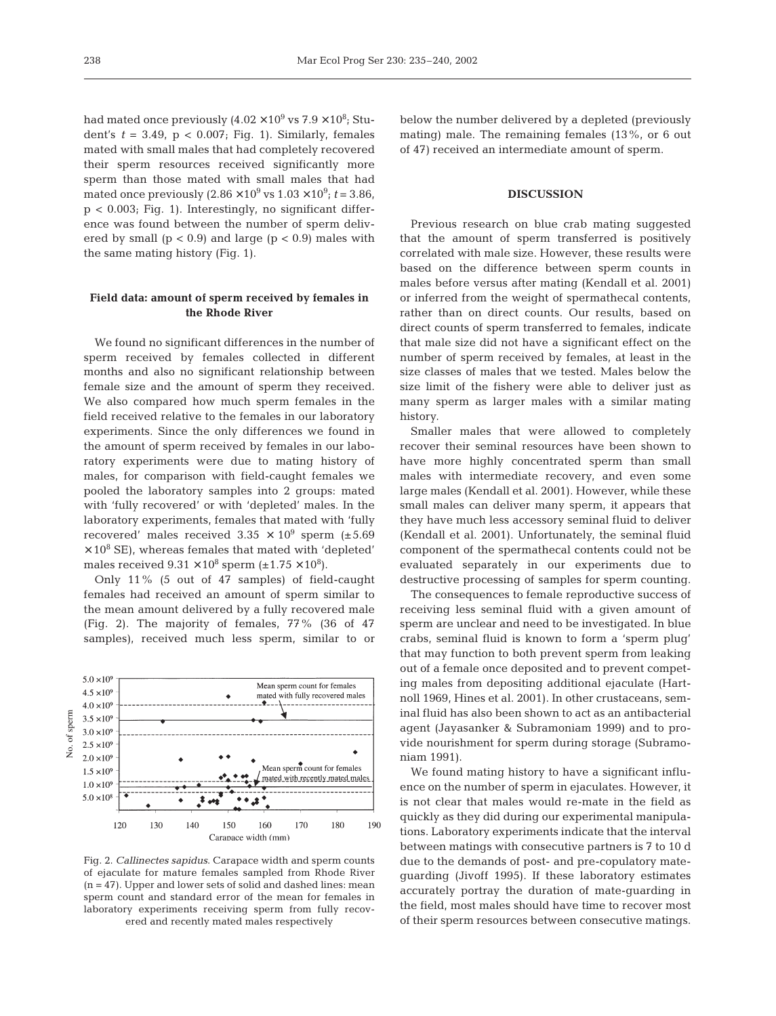had mated once previously (4.02  $\times\,10^9$  vs 7.9  $\times\,10^8$ ; Student's  $t = 3.49$ ,  $p < 0.007$ ; Fig. 1). Similarly, females mated with small males that had completely recovered their sperm resources received significantly more sperm than those mated with small males that had mated once previously  $(2.86 \times 10^9 \text{ vs } 1.03 \times 10^9; t = 3.86,$ p < 0.003; Fig. 1). Interestingly, no significant difference was found between the number of sperm delivered by small  $(p < 0.9)$  and large  $(p < 0.9)$  males with the same mating history (Fig. 1).

## **Field data: amount of sperm received by females in the Rhode River**

We found no significant differences in the number of sperm received by females collected in different months and also no significant relationship between female size and the amount of sperm they received. We also compared how much sperm females in the field received relative to the females in our laboratory experiments. Since the only differences we found in the amount of sperm received by females in our laboratory experiments were due to mating history of males, for comparison with field-caught females we pooled the laboratory samples into 2 groups: mated with 'fully recovered' or with 'depleted' males. In the laboratory experiments, females that mated with 'fully recovered' males received  $3.35 \times 10^9$  sperm (±5.69)  $\times$  10<sup>8</sup> SE), whereas females that mated with 'depleted' males received  $9.31 \times 10^8$  sperm (±1.75  $\times 10^8$ ).

Only 11% (5 out of 47 samples) of field-caught females had received an amount of sperm similar to the mean amount delivered by a fully recovered male (Fig. 2). The majority of females, 77% (36 of 47 samples), received much less sperm, similar to or



Fig. 2. *Callinectes sapidus*. Carapace width and sperm counts of ejaculate for mature females sampled from Rhode River (n = 47). Upper and lower sets of solid and dashed lines: mean sperm count and standard error of the mean for females in laboratory experiments receiving sperm from fully recovered and recently mated males respectively

below the number delivered by a depleted (previously mating) male. The remaining females (13%, or 6 out of 47) received an intermediate amount of sperm.

### **DISCUSSION**

Previous research on blue crab mating suggested that the amount of sperm transferred is positively correlated with male size. However, these results were based on the difference between sperm counts in males before versus after mating (Kendall et al. 2001) or inferred from the weight of spermathecal contents, rather than on direct counts. Our results, based on direct counts of sperm transferred to females, indicate that male size did not have a significant effect on the number of sperm received by females, at least in the size classes of males that we tested. Males below the size limit of the fishery were able to deliver just as many sperm as larger males with a similar mating history.

Smaller males that were allowed to completely recover their seminal resources have been shown to have more highly concentrated sperm than small males with intermediate recovery, and even some large males (Kendall et al. 2001). However, while these small males can deliver many sperm, it appears that they have much less accessory seminal fluid to deliver (Kendall et al. 2001). Unfortunately, the seminal fluid component of the spermathecal contents could not be evaluated separately in our experiments due to destructive processing of samples for sperm counting.

The consequences to female reproductive success of receiving less seminal fluid with a given amount of sperm are unclear and need to be investigated. In blue crabs, seminal fluid is known to form a 'sperm plug' that may function to both prevent sperm from leaking out of a female once deposited and to prevent competing males from depositing additional ejaculate (Hartnoll 1969, Hines et al. 2001). In other crustaceans, seminal fluid has also been shown to act as an antibacterial agent (Jayasanker & Subramoniam 1999) and to provide nourishment for sperm during storage (Subramoniam 1991).

We found mating history to have a significant influence on the number of sperm in ejaculates. However, it is not clear that males would re-mate in the field as quickly as they did during our experimental manipulations. Laboratory experiments indicate that the interval between matings with consecutive partners is 7 to 10 d due to the demands of post- and pre-copulatory mateguarding (Jivoff 1995). If these laboratory estimates accurately portray the duration of mate-guarding in the field, most males should have time to recover most of their sperm resources between consecutive matings.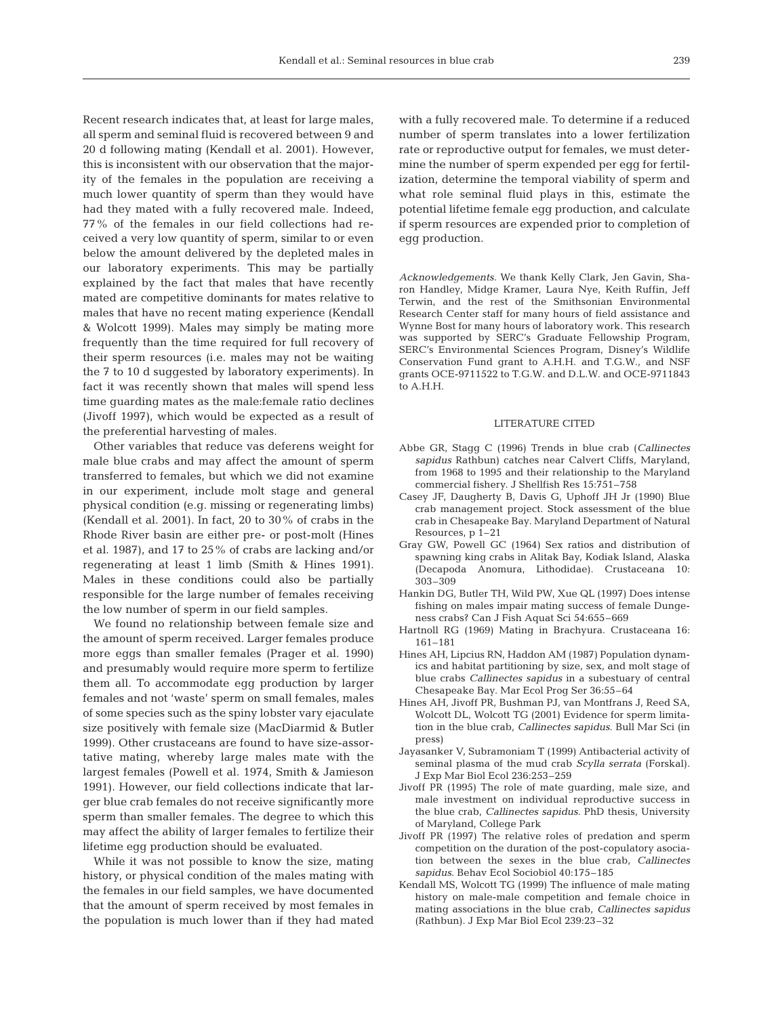Recent research indicates that, at least for large males, all sperm and seminal fluid is recovered between 9 and 20 d following mating (Kendall et al. 2001). However, this is inconsistent with our observation that the majority of the females in the population are receiving a much lower quantity of sperm than they would have had they mated with a fully recovered male. Indeed, 77% of the females in our field collections had received a very low quantity of sperm, similar to or even below the amount delivered by the depleted males in our laboratory experiments. This may be partially explained by the fact that males that have recently mated are competitive dominants for mates relative to males that have no recent mating experience (Kendall & Wolcott 1999). Males may simply be mating more frequently than the time required for full recovery of their sperm resources (i.e. males may not be waiting the 7 to 10 d suggested by laboratory experiments). In fact it was recently shown that males will spend less time guarding mates as the male:female ratio declines (Jivoff 1997), which would be expected as a result of the preferential harvesting of males.

Other variables that reduce vas deferens weight for male blue crabs and may affect the amount of sperm transferred to females, but which we did not examine in our experiment, include molt stage and general physical condition (e.g. missing or regenerating limbs) (Kendall et al. 2001). In fact, 20 to 30% of crabs in the Rhode River basin are either pre- or post-molt (Hines et al. 1987), and 17 to 25% of crabs are lacking and/or regenerating at least 1 limb (Smith & Hines 1991). Males in these conditions could also be partially responsible for the large number of females receiving the low number of sperm in our field samples.

We found no relationship between female size and the amount of sperm received. Larger females produce more eggs than smaller females (Prager et al. 1990) and presumably would require more sperm to fertilize them all. To accommodate egg production by larger females and not 'waste' sperm on small females, males of some species such as the spiny lobster vary ejaculate size positively with female size (MacDiarmid & Butler 1999). Other crustaceans are found to have size-assortative mating, whereby large males mate with the largest females (Powell et al. 1974, Smith & Jamieson 1991). However, our field collections indicate that larger blue crab females do not receive significantly more sperm than smaller females. The degree to which this may affect the ability of larger females to fertilize their lifetime egg production should be evaluated.

While it was not possible to know the size, mating history, or physical condition of the males mating with the females in our field samples, we have documented that the amount of sperm received by most females in the population is much lower than if they had mated

with a fully recovered male. To determine if a reduced number of sperm translates into a lower fertilization rate or reproductive output for females, we must determine the number of sperm expended per egg for fertilization, determine the temporal viability of sperm and what role seminal fluid plays in this, estimate the potential lifetime female egg production, and calculate if sperm resources are expended prior to completion of egg production.

*Acknowledgements.* We thank Kelly Clark, Jen Gavin, Sharon Handley, Midge Kramer, Laura Nye, Keith Ruffin, Jeff Terwin, and the rest of the Smithsonian Environmental Research Center staff for many hours of field assistance and Wynne Bost for many hours of laboratory work. This research was supported by SERC's Graduate Fellowship Program, SERC's Environmental Sciences Program, Disney's Wildlife Conservation Fund grant to A.H.H. and T.G.W., and NSF grants OCE-9711522 to T.G.W. and D.L.W. and OCE-9711843 to A.H.H.

## LITERATURE CITED

- Abbe GR, Stagg C (1996) Trends in blue crab (*Callinectes sapidus* Rathbun) catches near Calvert Cliffs, Maryland, from 1968 to 1995 and their relationship to the Maryland commercial fishery. J Shellfish Res 15:751–758
- Casey JF, Daugherty B, Davis G, Uphoff JH Jr (1990) Blue crab management project. Stock assessment of the blue crab in Chesapeake Bay. Maryland Department of Natural Resources, p 1–21
- Gray GW, Powell GC (1964) Sex ratios and distribution of spawning king crabs in Alitak Bay, Kodiak Island, Alaska (Decapoda Anomura, Lithodidae). Crustaceana 10: 303–309
- Hankin DG, Butler TH, Wild PW, Xue QL (1997) Does intense fishing on males impair mating success of female Dungeness crabs? Can J Fish Aquat Sci 54:655–669
- Hartnoll RG (1969) Mating in Brachyura. Crustaceana 16: 161–181
- Hines AH, Lipcius RN, Haddon AM (1987) Population dynamics and habitat partitioning by size, sex, and molt stage of blue crabs *Callinectes sapidus* in a subestuary of central Chesapeake Bay. Mar Ecol Prog Ser 36:55–64
- Hines AH, Jivoff PR, Bushman PJ, van Montfrans J, Reed SA, Wolcott DL, Wolcott TG (2001) Evidence for sperm limitation in the blue crab, *Callinectes sapidus*. Bull Mar Sci (in press)
- Jayasanker V, Subramoniam T (1999) Antibacterial activity of seminal plasma of the mud crab *Scylla serrata* (Forskal). J Exp Mar Biol Ecol 236:253–259
- Jivoff PR (1995) The role of mate guarding, male size, and male investment on individual reproductive success in the blue crab, *Callinectes sapidus*. PhD thesis, University of Maryland, College Park
- Jivoff PR (1997) The relative roles of predation and sperm competition on the duration of the post-copulatory asociation between the sexes in the blue crab, *Callinectes sapidus*. Behav Ecol Sociobiol 40:175–185
- Kendall MS, Wolcott TG (1999) The influence of male mating history on male-male competition and female choice in mating associations in the blue crab, *Callinectes sapidus* (Rathbun). J Exp Mar Biol Ecol 239:23–32